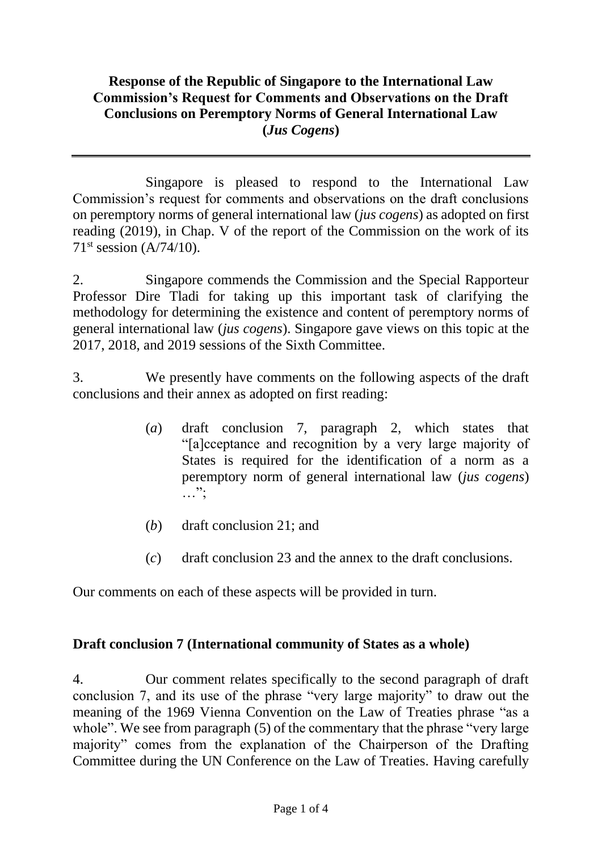## **Response of the Republic of Singapore to the International Law Commission's Request for Comments and Observations on the Draft Conclusions on Peremptory Norms of General International Law (***Jus Cogens***)**

Singapore is pleased to respond to the International Law Commission's request for comments and observations on the draft conclusions on peremptory norms of general international law (*jus cogens*) as adopted on first reading (2019), in Chap. V of the report of the Commission on the work of its  $71<sup>st</sup> session (A/74/10).$ 

2. Singapore commends the Commission and the Special Rapporteur Professor Dire Tladi for taking up this important task of clarifying the methodology for determining the existence and content of peremptory norms of general international law (*jus cogens*). Singapore gave views on this topic at the 2017, 2018, and 2019 sessions of the Sixth Committee.

3. We presently have comments on the following aspects of the draft conclusions and their annex as adopted on first reading:

- (*a*) draft conclusion 7, paragraph 2, which states that "[a]cceptance and recognition by a very large majority of States is required for the identification of a norm as a peremptory norm of general international law (*jus cogens*)  $\ldots$  ";
- (*b*) draft conclusion 21; and
- (*c*) draft conclusion 23 and the annex to the draft conclusions.

Our comments on each of these aspects will be provided in turn.

## **Draft conclusion 7 (International community of States as a whole)**

4. Our comment relates specifically to the second paragraph of draft conclusion 7, and its use of the phrase "very large majority" to draw out the meaning of the 1969 Vienna Convention on the Law of Treaties phrase "as a whole". We see from paragraph (5) of the commentary that the phrase "very large" majority" comes from the explanation of the Chairperson of the Drafting Committee during the UN Conference on the Law of Treaties. Having carefully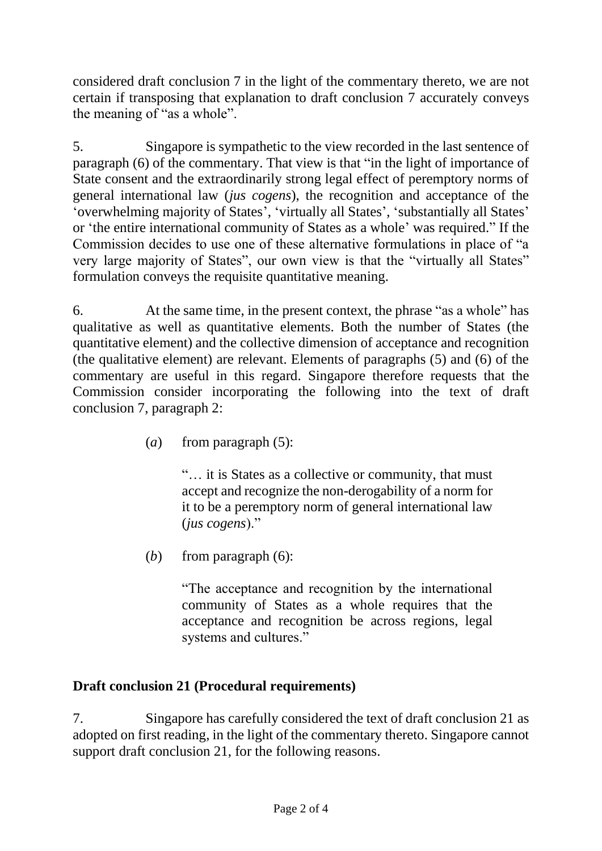considered draft conclusion 7 in the light of the commentary thereto, we are not certain if transposing that explanation to draft conclusion 7 accurately conveys the meaning of "as a whole".

5. Singapore is sympathetic to the view recorded in the last sentence of paragraph (6) of the commentary. That view is that "in the light of importance of State consent and the extraordinarily strong legal effect of peremptory norms of general international law (*jus cogens*), the recognition and acceptance of the 'overwhelming majority of States', 'virtually all States', 'substantially all States' or 'the entire international community of States as a whole' was required." If the Commission decides to use one of these alternative formulations in place of "a very large majority of States", our own view is that the "virtually all States" formulation conveys the requisite quantitative meaning.

6. At the same time, in the present context, the phrase "as a whole" has qualitative as well as quantitative elements. Both the number of States (the quantitative element) and the collective dimension of acceptance and recognition (the qualitative element) are relevant. Elements of paragraphs (5) and (6) of the commentary are useful in this regard. Singapore therefore requests that the Commission consider incorporating the following into the text of draft conclusion 7, paragraph 2:

(*a*) from paragraph (5):

"… it is States as a collective or community, that must accept and recognize the non-derogability of a norm for it to be a peremptory norm of general international law (*jus cogens*)."

(*b*) from paragraph (6):

"The acceptance and recognition by the international community of States as a whole requires that the acceptance and recognition be across regions, legal systems and cultures."

## **Draft conclusion 21 (Procedural requirements)**

7. Singapore has carefully considered the text of draft conclusion 21 as adopted on first reading, in the light of the commentary thereto. Singapore cannot support draft conclusion 21, for the following reasons.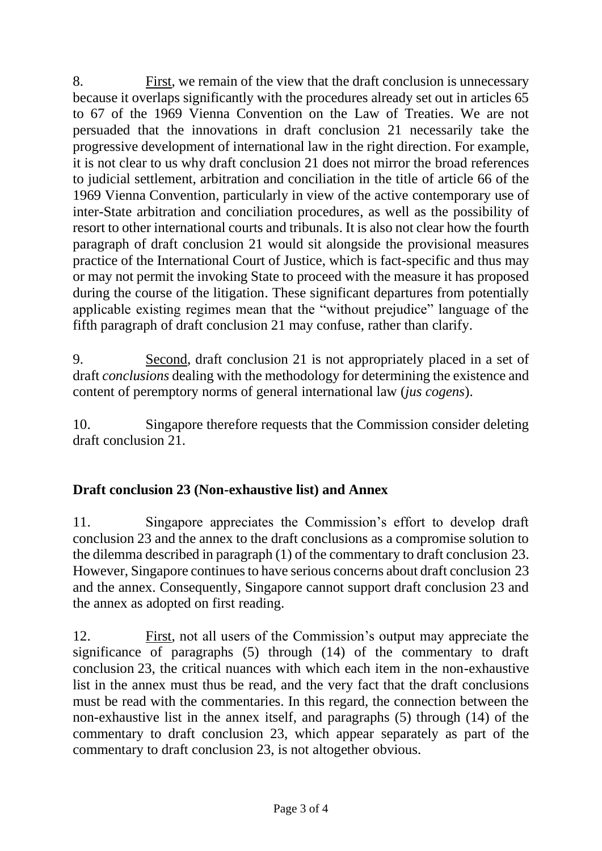8. First, we remain of the view that the draft conclusion is unnecessary because it overlaps significantly with the procedures already set out in articles 65 to 67 of the 1969 Vienna Convention on the Law of Treaties. We are not persuaded that the innovations in draft conclusion 21 necessarily take the progressive development of international law in the right direction. For example, it is not clear to us why draft conclusion 21 does not mirror the broad references to judicial settlement, arbitration and conciliation in the title of article 66 of the 1969 Vienna Convention, particularly in view of the active contemporary use of inter-State arbitration and conciliation procedures, as well as the possibility of resort to other international courts and tribunals. It is also not clear how the fourth paragraph of draft conclusion 21 would sit alongside the provisional measures practice of the International Court of Justice, which is fact-specific and thus may or may not permit the invoking State to proceed with the measure it has proposed during the course of the litigation. These significant departures from potentially applicable existing regimes mean that the "without prejudice" language of the fifth paragraph of draft conclusion 21 may confuse, rather than clarify.

9. Second, draft conclusion 21 is not appropriately placed in a set of draft *conclusions* dealing with the methodology for determining the existence and content of peremptory norms of general international law (*jus cogens*).

10. Singapore therefore requests that the Commission consider deleting draft conclusion 21.

## **Draft conclusion 23 (Non-exhaustive list) and Annex**

11. Singapore appreciates the Commission's effort to develop draft conclusion 23 and the annex to the draft conclusions as a compromise solution to the dilemma described in paragraph (1) of the commentary to draft conclusion 23. However, Singapore continues to have serious concerns about draft conclusion 23 and the annex. Consequently, Singapore cannot support draft conclusion 23 and the annex as adopted on first reading.

12. First, not all users of the Commission's output may appreciate the significance of paragraphs (5) through (14) of the commentary to draft conclusion 23, the critical nuances with which each item in the non-exhaustive list in the annex must thus be read, and the very fact that the draft conclusions must be read with the commentaries. In this regard, the connection between the non-exhaustive list in the annex itself, and paragraphs (5) through (14) of the commentary to draft conclusion 23, which appear separately as part of the commentary to draft conclusion 23, is not altogether obvious.